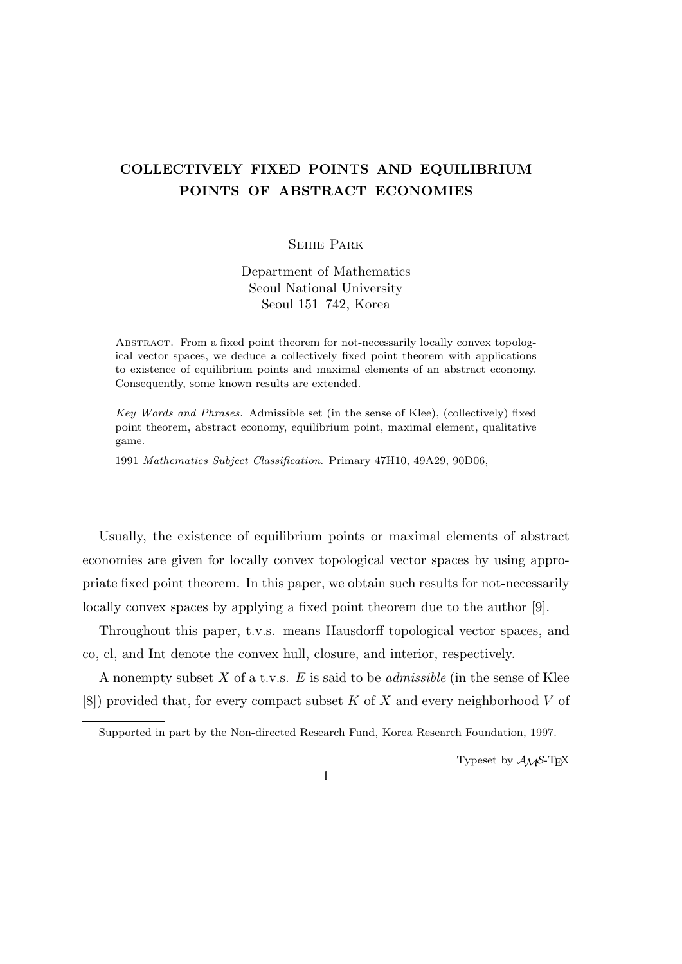## **COLLECTIVELY FIXED POINTS AND EQUILIBRIUM POINTS OF ABSTRACT ECONOMIES**

## Sehie Park

Department of Mathematics Seoul National University Seoul 151–742, Korea

Abstract. From a fixed point theorem for not-necessarily locally convex topological vector spaces, we deduce a collectively fixed point theorem with applications to existence of equilibrium points and maximal elements of an abstract economy. Consequently, some known results are extended.

*Key Words and Phrases.* Admissible set (in the sense of Klee), (collectively) fixed point theorem, abstract economy, equilibrium point, maximal element, qualitative game.

1991 *Mathematics Subject Classification*. Primary 47H10, 49A29, 90D06,

Usually, the existence of equilibrium points or maximal elements of abstract economies are given for locally convex topological vector spaces by using appropriate fixed point theorem. In this paper, we obtain such results for not-necessarily locally convex spaces by applying a fixed point theorem due to the author [9].

Throughout this paper, t.v.s. means Hausdorff topological vector spaces, and co, cl, and Int denote the convex hull, closure, and interior, respectively.

A nonempty subset *X* of a t.v.s. *E* is said to be *admissible* (in the sense of Klee [8]) provided that, for every compact subset *K* of *X* and every neighborhood *V* of

Typeset by  $A_{\mathcal{M}}S$ -T<sub>E</sub>X

1

Supported in part by the Non-directed Research Fund, Korea Research Foundation, 1997.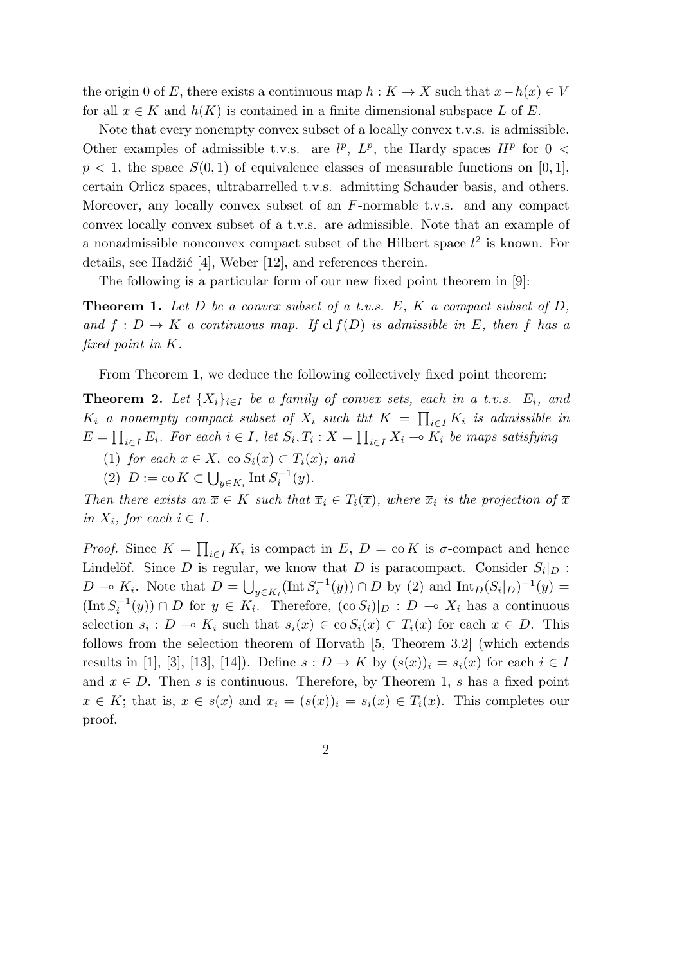the origin 0 of *E*, there exists a continuous map  $h: K \to X$  such that  $x - h(x) \in V$ for all  $x \in K$  and  $h(K)$  is contained in a finite dimensional subspace L of E.

Note that every nonempty convex subset of a locally convex t.v.s. is admissible. Other examples of admissible t.v.s. are  $l^p$ ,  $L^p$ , the Hardy spaces  $H^p$  for  $0 <$  $p < 1$ , the space  $S(0, 1)$  of equivalence classes of measurable functions on [0, 1], certain Orlicz spaces, ultrabarrelled t.v.s. admitting Schauder basis, and others. Moreover, any locally convex subset of an *F*-normable t.v.s. and any compact convex locally convex subset of a t.v.s. are admissible. Note that an example of a nonadmissible nonconvex compact subset of the Hilbert space  $l^2$  is known. For details, see Hadžić [4], Weber  $[12]$ , and references therein.

The following is a particular form of our new fixed point theorem in [9]:

**Theorem 1.** *Let D be a convex subset of a t.v.s. E, K a compact subset of D, and*  $f: D \to K$  *a continuous map.* If cl  $f(D)$  *is admissible in E, then f has a fixed point in K.*

From Theorem 1, we deduce the following collectively fixed point theorem:

**Theorem 2.** Let  $\{X_i\}_{i \in I}$  be a family of convex sets, each in a t.v.s.  $E_i$ , and  $K_i$  *a* nonempty compact subset of  $X_i$  such tht  $K = \prod_{i \in I} K_i$  is admissible in  $E = \prod_{i \in I} E_i$ . For each  $i \in I$ , let  $S_i, T_i : X = \prod_{i \in I} X_i \multimap K_i$  be maps satisfying

- (1) *for each*  $x \in X$ , co  $S_i(x) \subset T_i(x)$ ; and
- (2)  $D := \text{co } K \subset \bigcup_{y \in K_i} \text{Int } S_i^{-1}(y)$ .

*Then there exists an*  $\overline{x} \in K$  *such that*  $\overline{x}_i \in T_i(\overline{x})$ *, where*  $\overline{x}_i$  *is the projection of*  $\overline{x}$ *in*  $X_i$ , for each  $i \in I$ .

*Proof.* Since  $K = \prod_{i \in I} K_i$  is compact in *E*,  $D = \text{co } K$  is  $\sigma$ -compact and hence Lindelöf. Since *D* is regular, we know that *D* is paracompact. Consider  $S_i|_D$ :  $D \to K_i$ . Note that  $D = \bigcup_{y \in K_i} (\text{Int } S_i^{-1}(y)) \cap D$  by (2) and  $\text{Int}_D(S_i|_D)^{-1}(y) =$  $(\text{Int } S_i^{-1}(y))$  ∩ *D* for  $y \in K_i$ . Therefore,  $(\text{co } S_i)|_{D} : D \to X_i$  has a continuous selection  $s_i$ :  $D \to K_i$  such that  $s_i(x) \in \text{co } S_i(x) \subset T_i(x)$  for each  $x \in D$ . This follows from the selection theorem of Horvath [5, Theorem 3.2] (which extends results in [1], [3], [13], [14]). Define  $s: D \to K$  by  $(s(x))_i = s_i(x)$  for each  $i \in I$ and  $x \in D$ . Then *s* is continuous. Therefore, by Theorem 1, *s* has a fixed point  $\overline{x} \in K$ ; that is,  $\overline{x} \in s(\overline{x})$  and  $\overline{x}_i = (s(\overline{x}))_i = s_i(\overline{x}) \in T_i(\overline{x})$ . This completes our proof.

2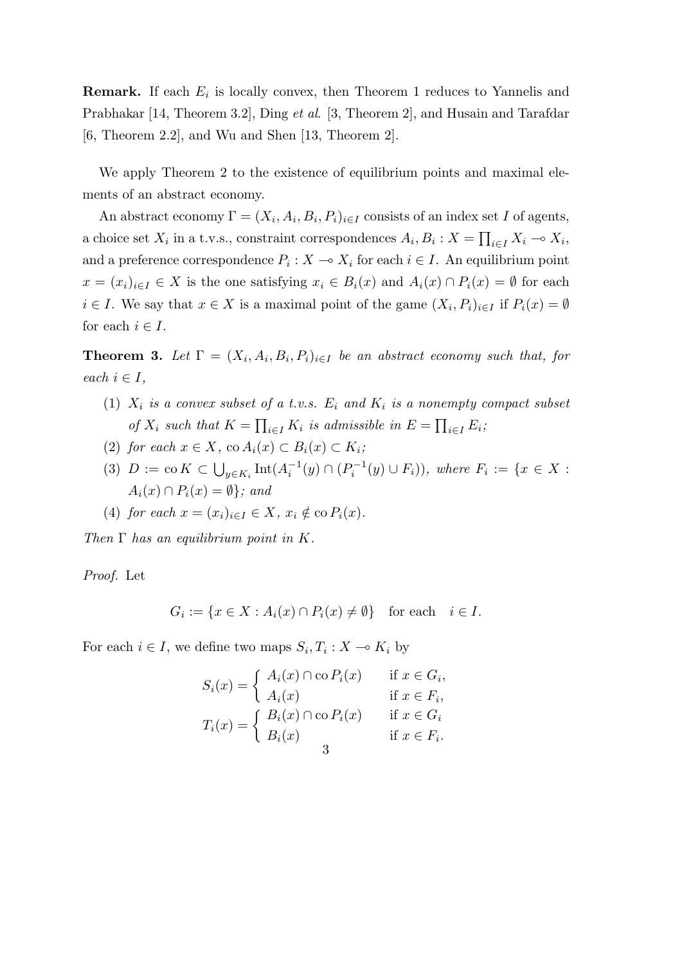**Remark.** If each  $E_i$  is locally convex, then Theorem 1 reduces to Yannelis and Prabhakar [14, Theorem 3.2], Ding *et al*. [3, Theorem 2], and Husain and Tarafdar [6, Theorem 2.2], and Wu and Shen [13, Theorem 2].

We apply Theorem 2 to the existence of equilibrium points and maximal elements of an abstract economy.

An abstract economy  $\Gamma = (X_i, A_i, B_i, P_i)_{i \in I}$  consists of an index set *I* of agents, a choice set  $X_i$  in a t.v.s., constraint correspondences  $A_i, B_i: X = \prod_{i \in I} X_i \multimap X_i$ , and a preference correspondence  $P_i: X \to X_i$  for each  $i \in I$ . An equilibrium point  $x = (x_i)_{i \in I} \in X$  is the one satisfying  $x_i \in B_i(x)$  and  $A_i(x) \cap P_i(x) = \emptyset$  for each  $i \in I$ . We say that  $x \in X$  is a maximal point of the game  $(X_i, P_i)_{i \in I}$  if  $P_i(x) = \emptyset$ for each  $i \in I$ .

**Theorem 3.** Let  $\Gamma = (X_i, A_i, B_i, P_i)_{i \in I}$  be an abstract economy such that, for  $each \ i \in I$ ,

- (1)  $X_i$  is a convex subset of a t.v.s.  $E_i$  and  $K_i$  is a nonempty compact subset *of*  $X_i$  such that  $K = \prod_{i \in I} K_i$  is admissible in  $E = \prod_{i \in I} E_i$ ;
- $(2)$  *for each*  $x \in X$ ,  $\text{co } A_i(x) \subset B_i(x) \subset K_i$ ;
- (3)  $D := \text{co } K \subset \bigcup_{y \in K_i} \text{Int}(A_i^{-1}(y) \cap (P_i^{-1}(y) \cup F_i)),$  where  $F_i := \{x \in X :$  $A_i(x) \cap P_i(x) = \emptyset$ ; and

(4) for each 
$$
x = (x_i)_{i \in I} \in X
$$
,  $x_i \notin \text{co } P_i(x)$ .

*Then* Γ *has an equilibrium point in K.*

*Proof.* Let

$$
G_i := \{ x \in X : A_i(x) \cap P_i(x) \neq \emptyset \} \text{ for each } i \in I.
$$

For each  $i \in I$ , we define two maps  $S_i, T_i : X \to K_i$  by

$$
S_i(x) = \begin{cases} A_i(x) \cap \text{co } P_i(x) & \text{if } x \in G_i, \\ A_i(x) & \text{if } x \in F_i, \\ B_i(x) \cap \text{co } P_i(x) & \text{if } x \in G_i \\ B_i(x) & \text{if } x \in F_i. \end{cases}
$$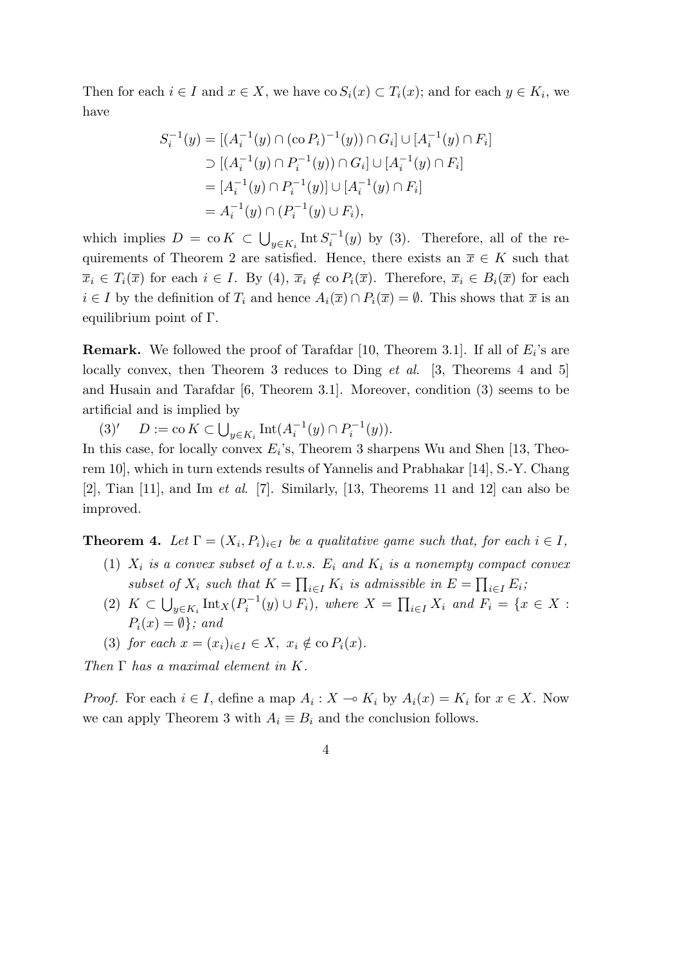Then for each  $i \in I$  and  $x \in X$ , we have  $\cos S_i(x) \subset T_i(x)$ ; and for each  $y \in K_i$ , we have

$$
S_i^{-1}(y) = [(A_i^{-1}(y) \cap (\text{co } P_i)^{-1}(y)) \cap G_i] \cup [A_i^{-1}(y) \cap F_i]
$$
  
\n
$$
\supset [(A_i^{-1}(y) \cap P_i^{-1}(y)) \cap G_i] \cup [A_i^{-1}(y) \cap F_i]
$$
  
\n
$$
= [A_i^{-1}(y) \cap P_i^{-1}(y)] \cup [A_i^{-1}(y) \cap F_i]
$$
  
\n
$$
= A_i^{-1}(y) \cap (P_i^{-1}(y) \cup F_i),
$$

which implies  $D = \text{co } K \subset \bigcup_{y \in K_i} \text{Int } S_i^{-1}(y)$  by (3). Therefore, all of the requirements of Theorem 2 are satisfied. Hence, there exists an  $\overline{x} \in K$  such that  $\overline{x}_i \in T_i(\overline{x})$  for each  $i \in I$ . By (4),  $\overline{x}_i \notin \text{co } P_i(\overline{x})$ . Therefore,  $\overline{x}_i \in B_i(\overline{x})$  for each *i* ∈ *I* by the definition of  $T_i$  and hence  $A_i(\overline{x}) \cap P_i(\overline{x}) = \emptyset$ . This shows that  $\overline{x}$  is an equilibrium point of Γ.

**Remark.** We followed the proof of Tarafdar [10, Theorem 3.1]. If all of *E<sup>i</sup>* 's are locally convex, then Theorem 3 reduces to Ding *et al*. [3, Theorems 4 and 5] and Husain and Tarafdar [6, Theorem 3.1]. Moreover, condition (3) seems to be artificial and is implied by

 $(D) := \text{co } K \subset \bigcup_{y \in K_i} \text{Int}(A_i^{-1}(y) \cap P_i^{-1}(y)).$ 

In this case, for locally convex  $E_i$ 's, Theorem 3 sharpens Wu and Shen [13, Theorem 10], which in turn extends results of Yannelis and Prabhakar [14], S.-Y. Chang [2], Tian [11], and Im *et al*. [7]. Similarly, [13, Theorems 11 and 12] can also be improved.

**Theorem 4.** Let  $\Gamma = (X_i, P_i)_{i \in I}$  be a qualitative game such that, for each  $i \in I$ ,

- (1)  $X_i$  is a convex subset of a t.v.s.  $E_i$  and  $K_i$  is a nonempty compact convex *subset of*  $X_i$  *such that*  $K = \prod_{i \in I} K_i$  *is admissible in*  $E = \prod_{i \in I} E_i$ ;
- (2)  $K \subset \bigcup_{y \in K_i} \text{Int}_X(P_i^{-1}(y) \cup F_i)$ , where  $X = \prod_{i \in I} X_i$  and  $F_i = \{x \in X :$  $P_i(x) = \emptyset$ ; and
- (3) *for each*  $x = (x_i)_{i \in I} \in X$ ,  $x_i \notin \text{co } P_i(x)$ *.*

*Then* Γ *has a maximal element in K.*

*Proof.* For each  $i \in I$ , define a map  $A_i: X \to K_i$  by  $A_i(x) = K_i$  for  $x \in X$ . Now we can apply Theorem 3 with  $A_i \equiv B_i$  and the conclusion follows.

$$
4\phantom{.0}
$$